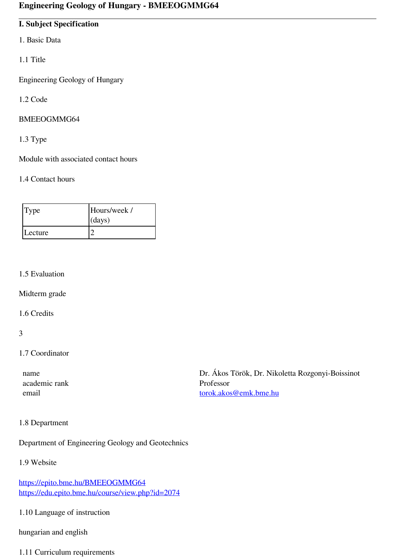## **I. Subject Specification**

- 1. Basic Data
- 1.1 Title

Engineering Geology of Hungary

1.2 Code

#### BMEEOGMMG64

1.3 Type

Module with associated contact hours

#### 1.4 Contact hours

| Type    | Hours/week /<br>(days) |
|---------|------------------------|
| Lecture |                        |

#### 1.5 Evaluation

Midterm grade

1.6 Credits

#### 3

#### 1.7 Coordinator

academic rank Professor

 name Dr. Ákos Török, Dr. Nikoletta Rozgonyi-Boissinot email [torok.akos@emk.bme.hu](mailto:torok.akos@emk.bme.hu)

#### 1.8 Department

Department of Engineering Geology and Geotechnics

1.9 Website

<https://epito.bme.hu/BMEEOGMMG64> <https://edu.epito.bme.hu/course/view.php?id=2074>

1.10 Language of instruction

hungarian and english

# 1.11 Curriculum requirements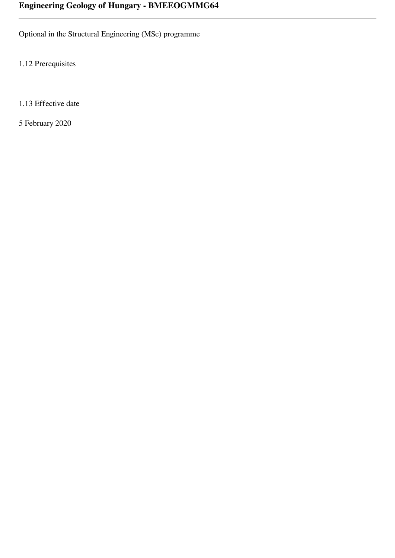Optional in the Structural Engineering (MSc) programme

1.12 Prerequisites

1.13 Effective date

5 February 2020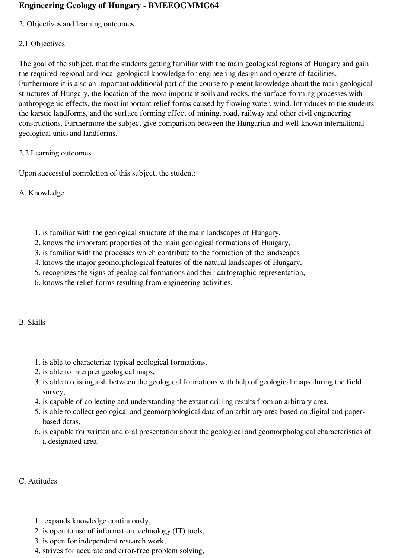2. Objectives and learning outcomes

### 2.1 Objectives

The goal of the subject, that the students getting familiar with the main geological regions of Hungary and gain the required regional and local geological knowledge for engineering design and operate of facilities. Furthermore it is also an important additional part of the course to present knowledge about the main geological structures of Hungary, the location of the most important soils and rocks, the surface-forming processes with anthropogenic effects, the most important relief forms caused by flowing water, wind. Introduces to the students the karstic landforms, and the surface forming effect of mining, road, railway and other civil engineering constructions. Furthermore the subject give comparison between the Hungarian and well-known international geological units and landforms.

### 2.2 Learning outcomes

Upon successful completion of this subject, the student:

A. Knowledge

- 1. is familiar with the geological structure of the main landscapes of Hungary,
- 2. knows the important properties of the main geological formations of Hungary,
- 3. is familiar with the processes which contribute to the formation of the landscapes
- 4. knows the major geomorphological features of the natural landscapes of Hungary,
- 5. recognizes the signs of geological formations and their cartographic representation,
- 6. knows the relief forms resulting from engineering activities.

B. Skills

- 1. is able to characterize typical geological formations,
- 2. is able to interpret geological maps,
- 3. is able to distinguish between the geological formations with help of geological maps during the field survey,
- 4. is capable of collecting and understanding the extant drilling results from an arbitrary area,
- 5. is able to collect geological and geomorphological data of an arbitrary area based on digital and paperbased datas,
- 6. is capable for written and oral presentation about the geological and geomorphological characteristics of a designated area.

C. Attitudes

- 1. expands knowledge continuously,
- 2. is open to use of information technology (IT) tools,
- 3. is open for independent research work,
- 4. strives for accurate and error-free problem solving,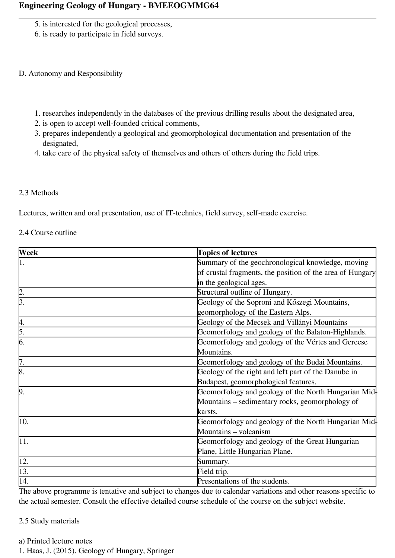- 5. is interested for the geological processes,
- 6. is ready to participate in field surveys.

#### D. Autonomy and Responsibility

- 1. researches independently in the databases of the previous drilling results about the designated area,
- 2. is open to accept well-founded critical comments,
- 3. prepares independently a geological and geomorphological documentation and presentation of the designated,
- 4. take care of the physical safety of themselves and others of others during the field trips.

#### 2.3 Methods

Lectures, written and oral presentation, use of IT-technics, field survey, self-made exercise.

#### 2.4 Course outline

| Week                               | <b>Topics of lectures</b>                                 |  |
|------------------------------------|-----------------------------------------------------------|--|
| 1.                                 | Summary of the geochronological knowledge, moving         |  |
|                                    | of crustal fragments, the position of the area of Hungary |  |
|                                    | in the geological ages.                                   |  |
| $\frac{2}{3}$ .                    | Structural outline of Hungary.                            |  |
|                                    | Geology of the Soproni and Kőszegi Mountains,             |  |
|                                    | geomorphology of the Eastern Alps.                        |  |
|                                    | Geology of the Mecsek and Villányi Mountains              |  |
| $\frac{4}{5}$ .<br>$\frac{5}{6}$ . | Geomorfology and geology of the Balaton-Highlands.        |  |
|                                    | Geomorfology and geology of the Vértes and Gerecse        |  |
|                                    | Mountains.                                                |  |
| $\frac{7}{8}$                      | Geomorfology and geology of the Budai Mountains.          |  |
|                                    | Geology of the right and left part of the Danube in       |  |
|                                    | Budapest, geomorphological features.                      |  |
| 9.                                 | Geomorfology and geology of the North Hungarian Mid-      |  |
|                                    | Mountains – sedimentary rocks, geomorphology of           |  |
|                                    | karsts.                                                   |  |
| $\overline{10}$ .                  | Geomorfology and geology of the North Hungarian Mid       |  |
|                                    | Mountains - volcanism                                     |  |
| $\overline{11}$ .                  | Geomorfology and geology of the Great Hungarian           |  |
|                                    | Plane, Little Hungarian Plane.                            |  |
|                                    | Summary.                                                  |  |
| $\frac{12}{13}$<br>$\frac{13}{14}$ | Field trip.                                               |  |
|                                    | Presentations of the students.                            |  |

The above programme is tentative and subject to changes due to calendar variations and other reasons specific to the actual semester. Consult the effective detailed course schedule of the course on the subject website.

#### 2.5 Study materials

- a) Printed lecture notes
- 1. Haas, J. (2015). Geology of Hungary, Springer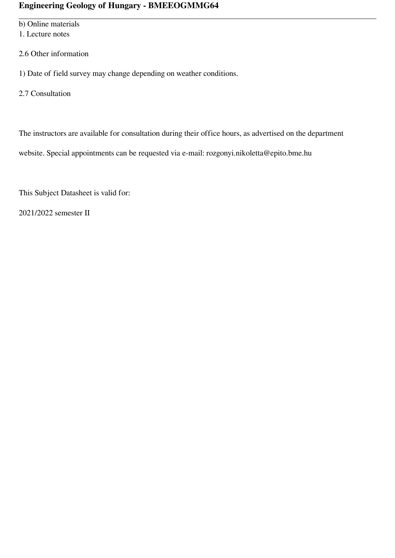b) Online materials

1. Lecture notes

2.6 Other information

1) Date of field survey may change depending on weather conditions.

2.7 Consultation

The instructors are available for consultation during their office hours, as advertised on the department

website. Special appointments can be requested via e‐mail: rozgonyi.nikoletta@epito.bme.hu

This Subject Datasheet is valid for:

2021/2022 semester II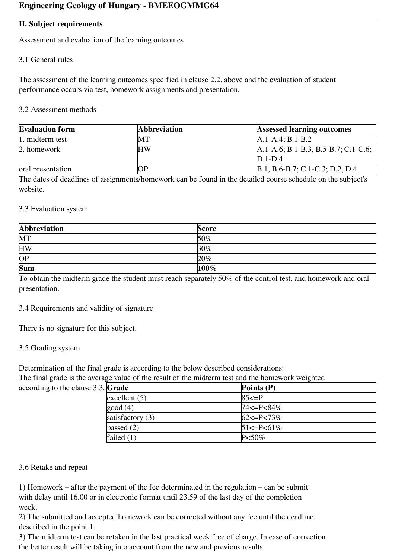#### **II. Subject requirements**

Assessment and evaluation of the learning outcomes

#### 3.1 General rules

The assessment of the learning outcomes specified in clause 2.2. above and the evaluation of student performance occurs via test, homework assignments and presentation.

#### 3.2 Assessment methods

| <b>Evaluation form</b> | <b>Abbreviation</b> | <b>Assessed learning outcomes</b>      |
|------------------------|---------------------|----------------------------------------|
| 1. midterm test        | MТ                  | $A.1-A.4; B.1-B.2$                     |
| 2. homework            | <b>HW</b>           | $A.1-A.6$ ; B.1-B.3, B.5-B.7; C.1-C.6; |
|                        |                     | $D.1-D.4$                              |
| oral presentation      | ОP                  | B.1, B.6-B.7; C.1-C.3; D.2, D.4        |

The dates of deadlines of assignments/homework can be found in the detailed course schedule on the subject's website.

#### 3.3 Evaluation system

| <b>Abbreviation</b> | <b>Score</b> |
|---------------------|--------------|
| <b>MT</b>           | $50\%$       |
| <b>HW</b>           | 30%          |
| $\overline{OP}$     | 20%          |
| <b>Sum</b>          | $100\%$      |

To obtain the midterm grade the student must reach separately 50% of the control test, and homework and oral presentation.

#### 3.4 Requirements and validity of signature

There is no signature for this subject.

#### 3.5 Grading system

Determination of the final grade is according to the below described considerations:

The final grade is the average value of the result of the midterm test and the homework weighted

| according to the clause $3.3$ . Grade |                    | Points $(P)$        |
|---------------------------------------|--------------------|---------------------|
|                                       | excellent $(5)$    | $85 \le P$          |
|                                       | good(4)            | 74<=P<84%           |
|                                       | satisfactory $(3)$ | $62 \le P \le 73\%$ |
|                                       | passed $(2)$       | $51 \le P \le 61\%$ |
|                                       | failed $(1)$       | $P<50\%$            |

#### 3.6 Retake and repeat

1) Homework – after the payment of the fee determinated in the regulation – can be submit with delay until 16.00 or in electronic format until 23.59 of the last day of the completion week.

2) The submitted and accepted homework can be corrected without any fee until the deadline described in the point 1.

3) The midterm test can be retaken in the last practical week free of charge. In case of correction the better result will be taking into account from the new and previous results.